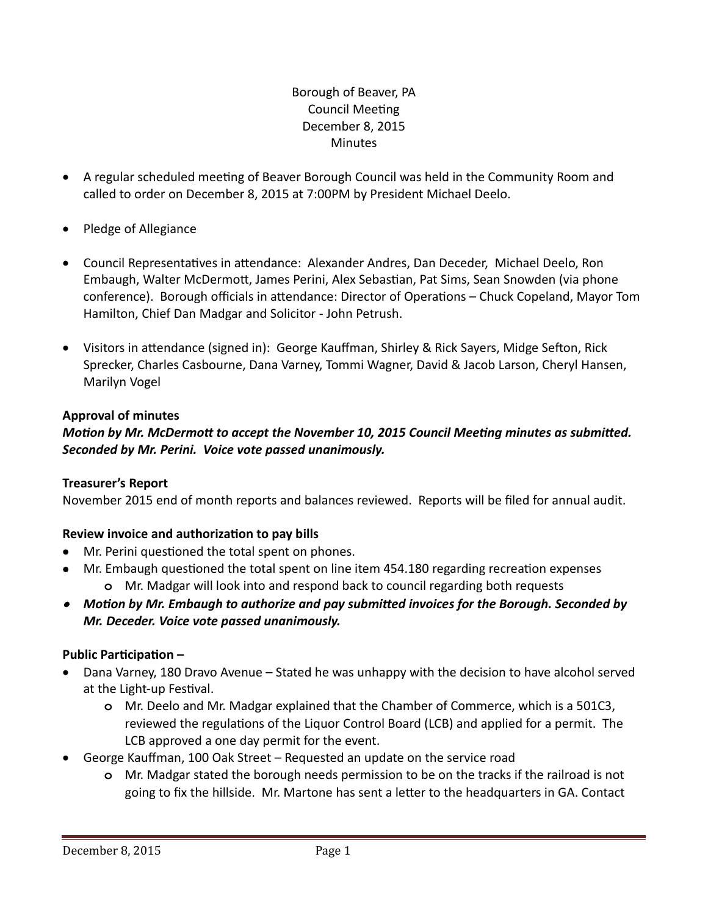## Borough of Beaver, PA Council Meeting December 8, 2015 Minutes

- A regular scheduled meeting of Beaver Borough Council was held in the Community Room and called to order on December 8, 2015 at 7:00PM by President Michael Deelo.
- Pledge of Allegiance
- Council Representatives in attendance: Alexander Andres, Dan Deceder, Michael Deelo, Ron Embaugh, Walter McDermott, James Perini, Alex Sebastian, Pat Sims, Sean Snowden (via phone conference). Borough officials in attendance: Director of Operations – Chuck Copeland, Mayor Tom Hamilton, Chief Dan Madgar and Solicitor - John Petrush.
- Visitors in attendance (signed in): George Kauffman, Shirley & Rick Sayers, Midge Sefton, Rick Sprecker, Charles Casbourne, Dana Varney, Tommi Wagner, David & Jacob Larson, Cheryl Hansen, Marilyn Vogel

## **Approval of minutes**

## *Motion by Mr. McDermott to accept the November 10, 2015 Council Meeting minutes as submitted. Seconded by Mr. Perini. Voice vote passed unanimously.*

## **Treasurer's Report**

November 2015 end of month reports and balances reviewed. Reports will be filed for annual audit.

## **Review invoice and authorization to pay bills**

- Mr. Perini questioned the total spent on phones.
- Mr. Embaugh questioned the total spent on line item 454.180 regarding recreation expenses **o** Mr. Madgar will look into and respond back to council regarding both requests
- *Motion by Mr. Embaugh to authorize and pay submitted invoices for the Borough. Seconded by Mr. Deceder. Voice vote passed unanimously.*

# **Public Participation –**

- Dana Varney, 180 Dravo Avenue Stated he was unhappy with the decision to have alcohol served at the Light-up Festival.
	- **o** Mr. Deelo and Mr. Madgar explained that the Chamber of Commerce, which is a 501C3, reviewed the regulations of the Liquor Control Board (LCB) and applied for a permit. The LCB approved a one day permit for the event.
- George Kauffman, 100 Oak Street Requested an update on the service road
	- **o** Mr. Madgar stated the borough needs permission to be on the tracks if the railroad is not going to fix the hillside. Mr. Martone has sent a letter to the headquarters in GA. Contact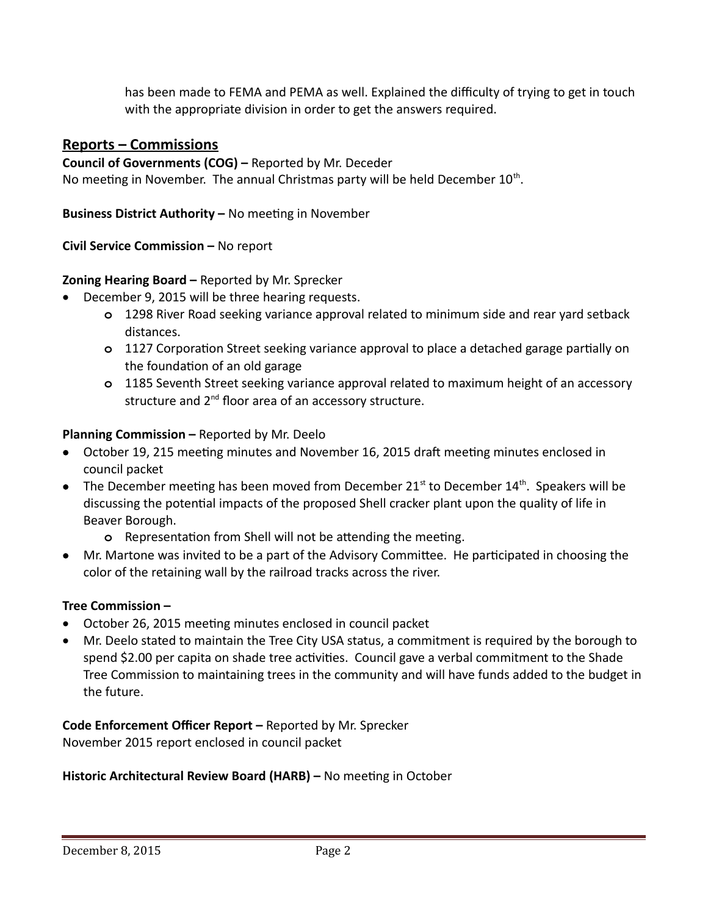has been made to FEMA and PEMA as well. Explained the difficulty of trying to get in touch with the appropriate division in order to get the answers required.

# **Reports – Commissions**

**Council of Governments (COG) –** Reported by Mr. Deceder No meeting in November. The annual Christmas party will be held December  $10^{\text{th}}$ .

**Business District Authority –** No meeting in November

**Civil Service Commission –** No report

## **Zoning Hearing Board –** Reported by Mr. Sprecker

- December 9, 2015 will be three hearing requests.
	- **o** 1298 River Road seeking variance approval related to minimum side and rear yard setback distances.
	- **o** 1127 Corporation Street seeking variance approval to place a detached garage partially on the foundation of an old garage
	- **o** 1185 Seventh Street seeking variance approval related to maximum height of an accessory structure and 2<sup>nd</sup> floor area of an accessory structure.

## **Planning Commission –** Reported by Mr. Deelo

- October 19, 215 meeting minutes and November 16, 2015 draft meeting minutes enclosed in council packet
- The December meeting has been moved from December 21<sup>st</sup> to December 14<sup>th</sup>. Speakers will be discussing the potential impacts of the proposed Shell cracker plant upon the quality of life in Beaver Borough.
	- **o** Representation from Shell will not be attending the meeting.
- Mr. Martone was invited to be a part of the Advisory Committee. He participated in choosing the color of the retaining wall by the railroad tracks across the river.

## **Tree Commission –**

- October 26, 2015 meeting minutes enclosed in council packet
- Mr. Deelo stated to maintain the Tree City USA status, a commitment is required by the borough to spend \$2.00 per capita on shade tree activities. Council gave a verbal commitment to the Shade Tree Commission to maintaining trees in the community and will have funds added to the budget in the future.

**Code Enforcement Officer Report –** Reported by Mr. Sprecker November 2015 report enclosed in council packet

## **Historic Architectural Review Board (HARB) –** No meeting in October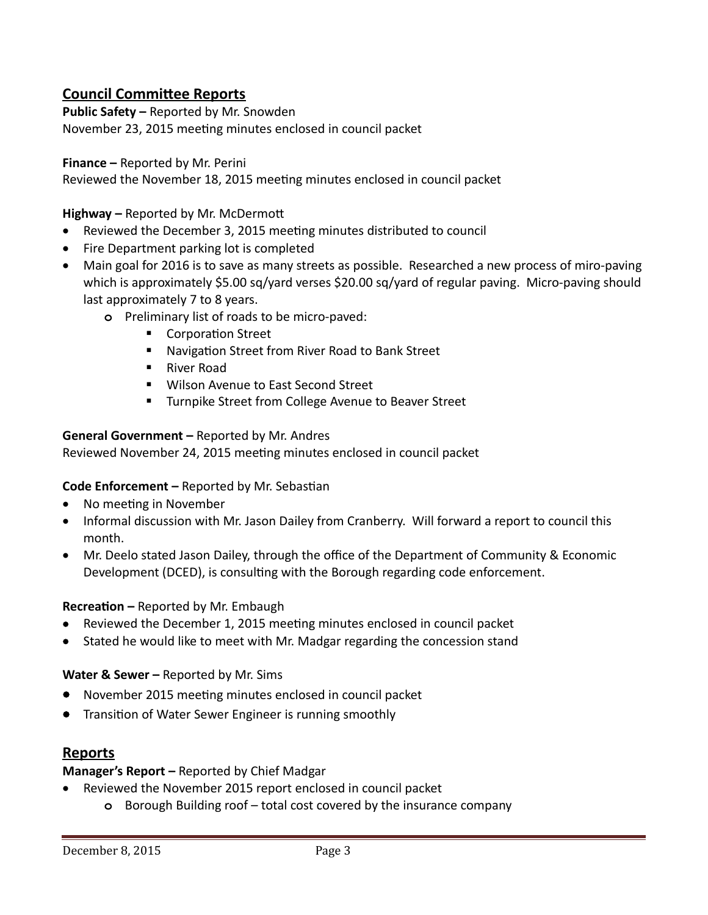# **Council Committee Reports**

**Public Safety –** Reported by Mr. Snowden November 23, 2015 meeting minutes enclosed in council packet

#### **Finance –** Reported by Mr. Perini

Reviewed the November 18, 2015 meeting minutes enclosed in council packet

**Highway –** Reported by Mr. McDermott

- Reviewed the December 3, 2015 meeting minutes distributed to council
- Fire Department parking lot is completed
- Main goal for 2016 is to save as many streets as possible. Researched a new process of miro-paving which is approximately \$5.00 sq/yard verses \$20.00 sq/yard of regular paving. Micro-paving should last approximately 7 to 8 years.
	- **o** Preliminary list of roads to be micro-paved:
		- Corporation Street
		- Navigation Street from River Road to Bank Street
		- River Road
		- **Wilson Avenue to East Second Street**
		- **Turnpike Street from College Avenue to Beaver Street**

#### **General Government –** Reported by Mr. Andres

Reviewed November 24, 2015 meeting minutes enclosed in council packet

## **Code Enforcement –** Reported by Mr. Sebastian

- No meeting in November
- Informal discussion with Mr. Jason Dailey from Cranberry. Will forward a report to council this month.
- Mr. Deelo stated Jason Dailey, through the office of the Department of Community & Economic Development (DCED), is consulting with the Borough regarding code enforcement.

#### **Recreation –** Reported by Mr. Embaugh

- Reviewed the December 1, 2015 meeting minutes enclosed in council packet
- Stated he would like to meet with Mr. Madgar regarding the concession stand

#### Water & Sewer - Reported by Mr. Sims

- November 2015 meeting minutes enclosed in council packet
- **•** Transition of Water Sewer Engineer is running smoothly

## **Reports**

## **Manager's Report –** Reported by Chief Madgar

- Reviewed the November 2015 report enclosed in council packet
	- **o** Borough Building roof total cost covered by the insurance company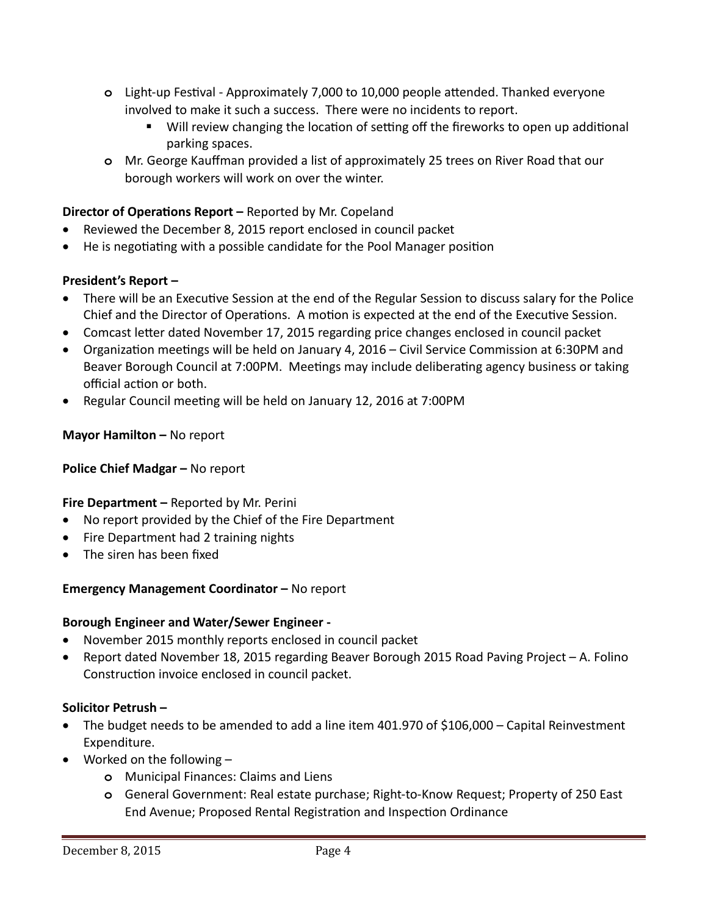- **o** Light-up Festival Approximately 7,000 to 10,000 people attended. Thanked everyone involved to make it such a success. There were no incidents to report.
	- Will review changing the location of setting off the fireworks to open up additional parking spaces.
- **o** Mr. George Kauffman provided a list of approximately 25 trees on River Road that our borough workers will work on over the winter.

## **Director of Operations Report –** Reported by Mr. Copeland

- Reviewed the December 8, 2015 report enclosed in council packet
- He is negotiating with a possible candidate for the Pool Manager position

## **President's Report –**

- There will be an Executive Session at the end of the Regular Session to discuss salary for the Police Chief and the Director of Operations. A motion is expected at the end of the Executive Session.
- Comcast letter dated November 17, 2015 regarding price changes enclosed in council packet
- Organization meetings will be held on January 4, 2016 Civil Service Commission at 6:30PM and Beaver Borough Council at 7:00PM. Meetings may include deliberating agency business or taking official action or both.
- Regular Council meeting will be held on January 12, 2016 at 7:00PM

## **Mayor Hamilton –** No report

## **Police Chief Madgar –** No report

## **Fire Department –** Reported by Mr. Perini

- No report provided by the Chief of the Fire Department
- Fire Department had 2 training nights
- The siren has been fixed

## **Emergency Management Coordinator –** No report

## **Borough Engineer and Water/Sewer Engineer -**

- November 2015 monthly reports enclosed in council packet
- Report dated November 18, 2015 regarding Beaver Borough 2015 Road Paving Project A. Folino Construction invoice enclosed in council packet.

## **Solicitor Petrush –**

- The budget needs to be amended to add a line item 401.970 of \$106,000 Capital Reinvestment Expenditure.
- Worked on the following
	- **o** Municipal Finances: Claims and Liens
	- **o** General Government: Real estate purchase; Right-to-Know Request; Property of 250 East End Avenue; Proposed Rental Registration and Inspection Ordinance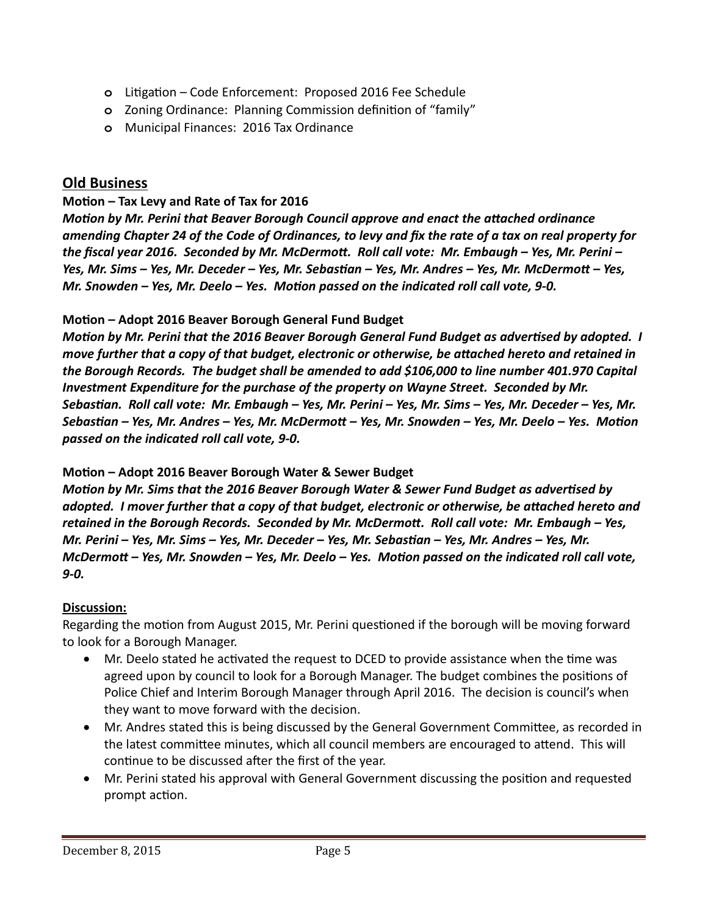- **o** Litigation Code Enforcement: Proposed 2016 Fee Schedule
- **o** Zoning Ordinance: Planning Commission definition of "family"
- **o** Municipal Finances: 2016 Tax Ordinance

## **Old Business**

#### **Motion – Tax Levy and Rate of Tax for 2016**

*Motion by Mr. Perini that Beaver Borough Council approve and enact the attached ordinance amending Chapter 24 of the Code of Ordinances, to levy and fix the rate of a tax on real property for the fiscal year 2016. Seconded by Mr. McDermott. Roll call vote: Mr. Embaugh – Yes, Mr. Perini – Yes, Mr. Sims – Yes, Mr. Deceder – Yes, Mr. Sebastian – Yes, Mr. Andres – Yes, Mr. McDermott – Yes, Mr. Snowden – Yes, Mr. Deelo – Yes. Motion passed on the indicated roll call vote, 9-0.*

#### **Motion – Adopt 2016 Beaver Borough General Fund Budget**

*Motion by Mr. Perini that the 2016 Beaver Borough General Fund Budget as advertised by adopted. I move further that a copy of that budget, electronic or otherwise, be attached hereto and retained in the Borough Records. The budget shall be amended to add \$106,000 to line number 401.970 Capital Investment Expenditure for the purchase of the property on Wayne Street. Seconded by Mr. Sebastian. Roll call vote: Mr. Embaugh – Yes, Mr. Perini – Yes, Mr. Sims – Yes, Mr. Deceder – Yes, Mr. Sebastian – Yes, Mr. Andres – Yes, Mr. McDermott – Yes, Mr. Snowden – Yes, Mr. Deelo – Yes. Motion passed on the indicated roll call vote, 9-0.*

#### **Motion – Adopt 2016 Beaver Borough Water & Sewer Budget**

*Motion by Mr. Sims that the 2016 Beaver Borough Water & Sewer Fund Budget as advertised by adopted. I mover further that a copy of that budget, electronic or otherwise, be attached hereto and retained in the Borough Records. Seconded by Mr. McDermott. Roll call vote: Mr. Embaugh – Yes, Mr. Perini – Yes, Mr. Sims – Yes, Mr. Deceder – Yes, Mr. Sebastian – Yes, Mr. Andres – Yes, Mr. McDermott – Yes, Mr. Snowden – Yes, Mr. Deelo – Yes. Motion passed on the indicated roll call vote, 9-0.*

## **Discussion:**

Regarding the motion from August 2015, Mr. Perini questioned if the borough will be moving forward to look for a Borough Manager.

- Mr. Deelo stated he activated the request to DCED to provide assistance when the time was agreed upon by council to look for a Borough Manager. The budget combines the positions of Police Chief and Interim Borough Manager through April 2016. The decision is council's when they want to move forward with the decision.
- Mr. Andres stated this is being discussed by the General Government Committee, as recorded in the latest committee minutes, which all council members are encouraged to attend. This will continue to be discussed after the first of the year.
- Mr. Perini stated his approval with General Government discussing the position and requested prompt action.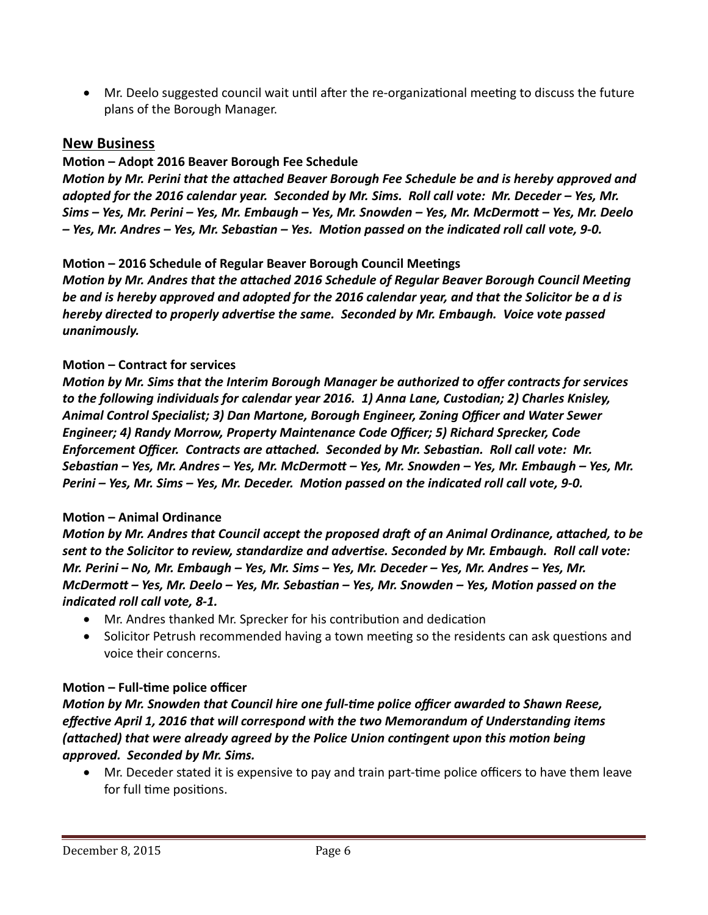Mr. Deelo suggested council wait until after the re-organizational meeting to discuss the future plans of the Borough Manager.

## **New Business**

## **Motion – Adopt 2016 Beaver Borough Fee Schedule**

*Motion by Mr. Perini that the attached Beaver Borough Fee Schedule be and is hereby approved and adopted for the 2016 calendar year. Seconded by Mr. Sims. Roll call vote: Mr. Deceder – Yes, Mr. Sims – Yes, Mr. Perini – Yes, Mr. Embaugh – Yes, Mr. Snowden – Yes, Mr. McDermott – Yes, Mr. Deelo – Yes, Mr. Andres – Yes, Mr. Sebastian – Yes. Motion passed on the indicated roll call vote, 9-0.*

## **Motion – 2016 Schedule of Regular Beaver Borough Council Meetings**

*Motion by Mr. Andres that the attached 2016 Schedule of Regular Beaver Borough Council Meeting be and is hereby approved and adopted for the 2016 calendar year, and that the Solicitor be a d is hereby directed to properly advertise the same. Seconded by Mr. Embaugh. Voice vote passed unanimously.*

#### **Motion – Contract for services**

*Motion by Mr. Sims that the Interim Borough Manager be authorized to offer contracts for services to the following individuals for calendar year 2016. 1) Anna Lane, Custodian; 2) Charles Knisley, Animal Control Specialist; 3) Dan Martone, Borough Engineer, Zoning Officer and Water Sewer Engineer; 4) Randy Morrow, Property Maintenance Code Officer; 5) Richard Sprecker, Code Enforcement Officer. Contracts are attached. Seconded by Mr. Sebastian. Roll call vote: Mr. Sebastian – Yes, Mr. Andres – Yes, Mr. McDermott – Yes, Mr. Snowden – Yes, Mr. Embaugh – Yes, Mr. Perini – Yes, Mr. Sims – Yes, Mr. Deceder. Motion passed on the indicated roll call vote, 9-0.*

## **Motion – Animal Ordinance**

*Motion by Mr. Andres that Council accept the proposed draft of an Animal Ordinance, attached, to be sent to the Solicitor to review, standardize and advertise. Seconded by Mr. Embaugh. Roll call vote: Mr. Perini – No, Mr. Embaugh – Yes, Mr. Sims – Yes, Mr. Deceder – Yes, Mr. Andres – Yes, Mr. McDermott – Yes, Mr. Deelo – Yes, Mr. Sebastian – Yes, Mr. Snowden – Yes, Motion passed on the indicated roll call vote, 8-1.*

- Mr. Andres thanked Mr. Sprecker for his contribution and dedication
- Solicitor Petrush recommended having a town meeting so the residents can ask questions and voice their concerns.

## **Motion – Full-time police officer**

*Motion by Mr. Snowden that Council hire one full-time police officer awarded to Shawn Reese, effective April 1, 2016 that will correspond with the two Memorandum of Understanding items (attached) that were already agreed by the Police Union contingent upon this motion being approved. Seconded by Mr. Sims.* 

 Mr. Deceder stated it is expensive to pay and train part-time police officers to have them leave for full time positions.